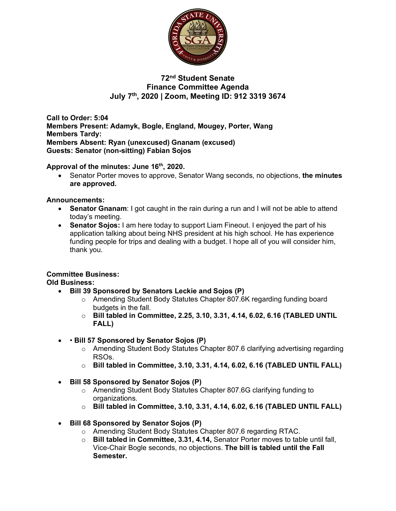

# **72nd Student Senate Finance Committee Agenda July 7th, 2020 | Zoom, Meeting ID: 912 3319 3674**

**Call to Order: 5:04 Members Present: Adamyk, Bogle, England, Mougey, Porter, Wang Members Tardy: Members Absent: Ryan (unexcused) Gnanam (excused) Guests: Senator (non-sitting) Fabian Sojos**

**Approval of the minutes: June 16th, 2020.**

• Senator Porter moves to approve, Senator Wang seconds, no objections, **the minutes are approved.**

### **Announcements:**

- **Senator Gnanam**: I got caught in the rain during a run and I will not be able to attend today's meeting.
- **Senator Sojos:** I am here today to support Liam Fineout. I enjoyed the part of his application talking about being NHS president at his high school. He has experience funding people for trips and dealing with a budget. I hope all of you will consider him, thank you.

# **Committee Business:**

**Old Business:** 

- **Bill 39 Sponsored by Senators Leckie and Sojos (P)**
	- o Amending Student Body Statutes Chapter 807.6K regarding funding board budgets in the fall.
	- o **Bill tabled in Committee, 2.25, 3.10, 3.31, 4.14, 6.02, 6.16 (TABLED UNTIL FALL)**
- • **Bill 57 Sponsored by Senator Sojos (P)**
	- $\circ$  Amending Student Body Statutes Chapter 807.6 clarifying advertising regarding RSOs.
	- o **Bill tabled in Committee, 3.10, 3.31, 4.14, 6.02, 6.16 (TABLED UNTIL FALL)**
- **Bill 58 Sponsored by Senator Sojos (P)**
	- o Amending Student Body Statutes Chapter 807.6G clarifying funding to organizations.
	- o **Bill tabled in Committee, 3.10, 3.31, 4.14, 6.02, 6.16 (TABLED UNTIL FALL)**
- **Bill 68 Sponsored by Senator Sojos (P)**
	- o Amending Student Body Statutes Chapter 807.6 regarding RTAC.
	- o **Bill tabled in Committee, 3.31, 4.14,** Senator Porter moves to table until fall, Vice-Chair Bogle seconds, no objections. **The bill is tabled until the Fall Semester.**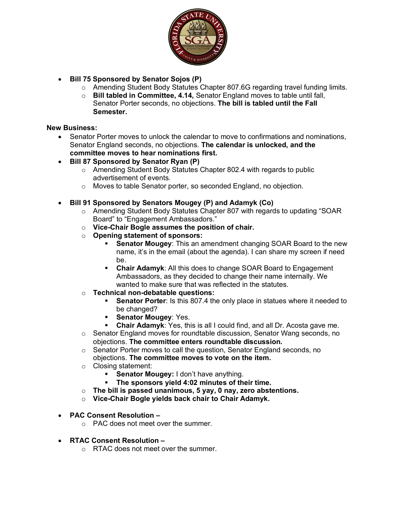

- **Bill 75 Sponsored by Senator Sojos (P)**
	- o Amending Student Body Statutes Chapter 807.6G regarding travel funding limits.
	- o **Bill tabled in Committee, 4.14,** Senator England moves to table until fall, Senator Porter seconds, no objections. **The bill is tabled until the Fall Semester.**

#### **New Business:**

- Senator Porter moves to unlock the calendar to move to confirmations and nominations, Senator England seconds, no objections. **The calendar is unlocked, and the committee moves to hear nominations first.**
- **Bill 87 Sponsored by Senator Ryan (P)**
	- o Amending Student Body Statutes Chapter 802.4 with regards to public advertisement of events.
	- o Moves to table Senator porter, so seconded England, no objection.
- **Bill 91 Sponsored by Senators Mougey (P) and Adamyk (Co)**
	- o Amending Student Body Statutes Chapter 807 with regards to updating "SOAR Board" to "Engagement Ambassadors."
	- o **Vice-Chair Bogle assumes the position of chair.**
	- o **Opening statement of sponsors:**
		- **Senator Mougey:** This an amendment changing SOAR Board to the new name, it's in the email (about the agenda). I can share my screen if need be.
		- § **Chair Adamyk**: All this does to change SOAR Board to Engagement Ambassadors, as they decided to change their name internally. We wanted to make sure that was reflected in the statutes.
	- o **Technical non-debatable questions:**
		- **Senator Porter**: Is this 807.4 the only place in statues where it needed to be changed?
		- § **Senator Mougey**: Yes.
		- § **Chair Adamyk**: Yes, this is all I could find, and all Dr. Acosta gave me.
	- $\circ$  Senator England moves for roundtable discussion, Senator Wang seconds, no objections. **The committee enters roundtable discussion.**
	- o Senator Porter moves to call the question, Senator England seconds, no objections. **The committee moves to vote on the item.**
	- o Closing statement:
		- **Senator Mougey:** I don't have anything.
		- § **The sponsors yield 4:02 minutes of their time.**
	- o **The bill is passed unanimous, 5 yay, 0 nay, zero abstentions.**
	- o **Vice-Chair Bogle yields back chair to Chair Adamyk.**
- **PAC Consent Resolution –**
	- o PAC does not meet over the summer.
- **RTAC Consent Resolution –**
	- o RTAC does not meet over the summer.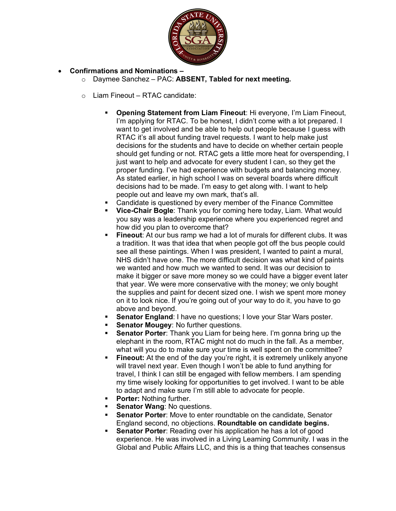

# • **Confirmations and Nominations –**

- o Daymee Sanchez PAC: **ABSENT, Tabled for next meeting.**
- o Liam Fineout RTAC candidate:
	- § **Opening Statement from Liam Fineout**: Hi everyone, I'm Liam Fineout, I'm applying for RTAC. To be honest, I didn't come with a lot prepared. I want to get involved and be able to help out people because I guess with RTAC it's all about funding travel requests. I want to help make just decisions for the students and have to decide on whether certain people should get funding or not. RTAC gets a little more heat for overspending, I just want to help and advocate for every student I can, so they get the proper funding. I've had experience with budgets and balancing money. As stated earlier, in high school I was on several boards where difficult decisions had to be made. I'm easy to get along with. I want to help people out and leave my own mark, that's all.
	- Candidate is questioned by every member of the Finance Committee
	- § **Vice-Chair Bogle**: Thank you for coming here today, Liam. What would you say was a leadership experience where you experienced regret and how did you plan to overcome that?
	- § **Fineout**: At our bus ramp we had a lot of murals for different clubs. It was a tradition. It was that idea that when people got off the bus people could see all these paintings. When I was president, I wanted to paint a mural, NHS didn't have one. The more difficult decision was what kind of paints we wanted and how much we wanted to send. It was our decision to make it bigger or save more money so we could have a bigger event later that year. We were more conservative with the money; we only bought the supplies and paint for decent sized one. I wish we spent more money on it to look nice. If you're going out of your way to do it, you have to go above and beyond.
	- **Senator England:** I have no questions; I love your Star Wars poster.
	- § **Senator Mougey**: No further questions.
	- **Senator Porter:** Thank you Liam for being here. I'm gonna bring up the elephant in the room, RTAC might not do much in the fall. As a member, what will you do to make sure your time is well spent on the committee?
	- **Fineout:** At the end of the day you're right, it is extremely unlikely anyone will travel next year. Even though I won't be able to fund anything for travel, I think I can still be engaged with fellow members. I am spending my time wisely looking for opportunities to get involved. I want to be able to adapt and make sure I'm still able to advocate for people.
	- **Porter: Nothing further.**
	- § **Senator Wang**: No questions.
	- § **Senator Porter**: Move to enter roundtable on the candidate, Senator England second, no objections. **Roundtable on candidate begins.**
	- **Senator Porter:** Reading over his application he has a lot of good experience. He was involved in a Living Learning Community. I was in the Global and Public Affairs LLC, and this is a thing that teaches consensus